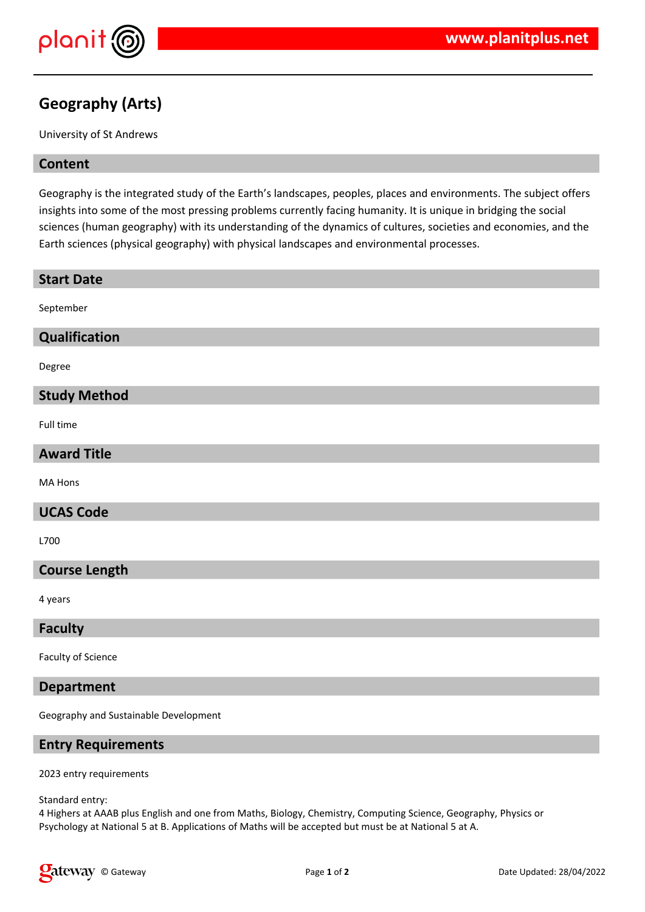

# **Geography (Arts)**

University of St Andrews

## **Content**

Geography is the integrated study of the Earth's landscapes, peoples, places and environments. The subject offers insights into some of the most pressing problems currently facing humanity. It is unique in bridging the social sciences (human geography) with its understanding of the dynamics of cultures, societies and economies, and the Earth sciences (physical geography) with physical landscapes and environmental processes.

| <b>Start Date</b>    |
|----------------------|
| September            |
| Qualification        |
| Degree               |
| <b>Study Method</b>  |
| Full time            |
| <b>Award Title</b>   |
| MA Hons              |
| <b>UCAS Code</b>     |
| L700                 |
| <b>Course Length</b> |
| 4 years              |
| <b>Faculty</b>       |
| Faculty of Science   |

### **Department**

Geography and Sustainable Development

## **Entry Requirements**

2023 entry requirements

Standard entry:

4 Highers at AAAB plus English and one from Maths, Biology, Chemistry, Computing Science, Geography, Physics or Psychology at National 5 at B. Applications of Maths will be accepted but must be at National 5 at A.